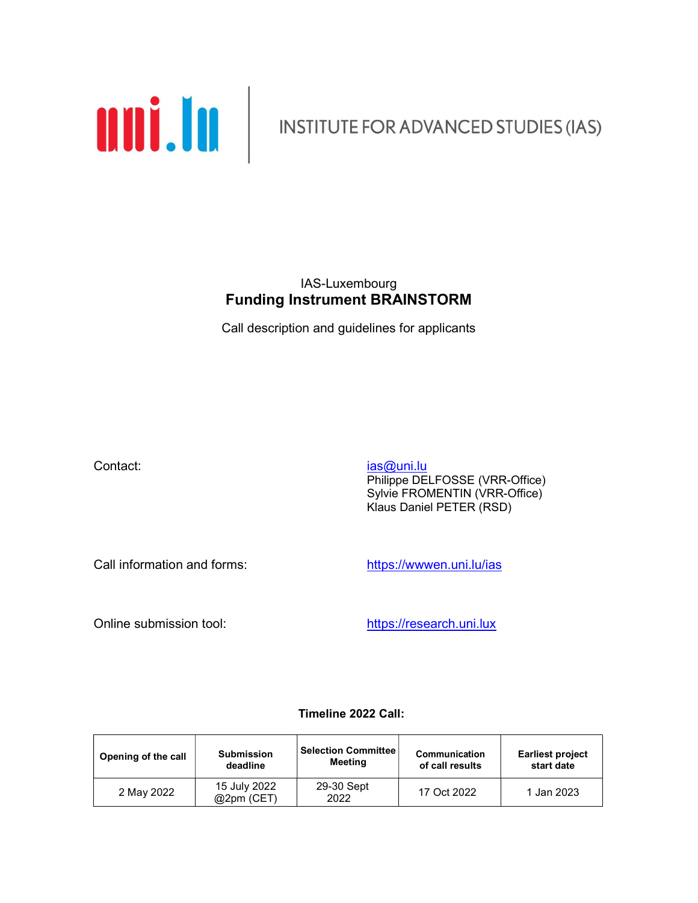

### IAS-Luxembourg Funding Instrument BRAINSTORM

Call description and guidelines for applicants

Contact: ias and its interval of the contact: Philippe DELFOSSE (VRR-Office) Sylvie FROMENTIN (VRR-Office) Klaus Daniel PETER (RSD)

Call information and forms: https://wwwen.uni.lu/ias

Online submission tool: https://research.uni.lux

#### Timeline 2022 Call:

| Opening of the call | <b>Submission</b>         | <b>Selection Committee</b> | Communication   | <b>Earliest project</b> |
|---------------------|---------------------------|----------------------------|-----------------|-------------------------|
|                     | deadline                  | Meeting                    | of call results | start date              |
| 2 May 2022          | 15 July 2022<br>@2pm(CET) | 29-30 Sept<br>2022         | 17 Oct 2022     | 1 Jan 2023              |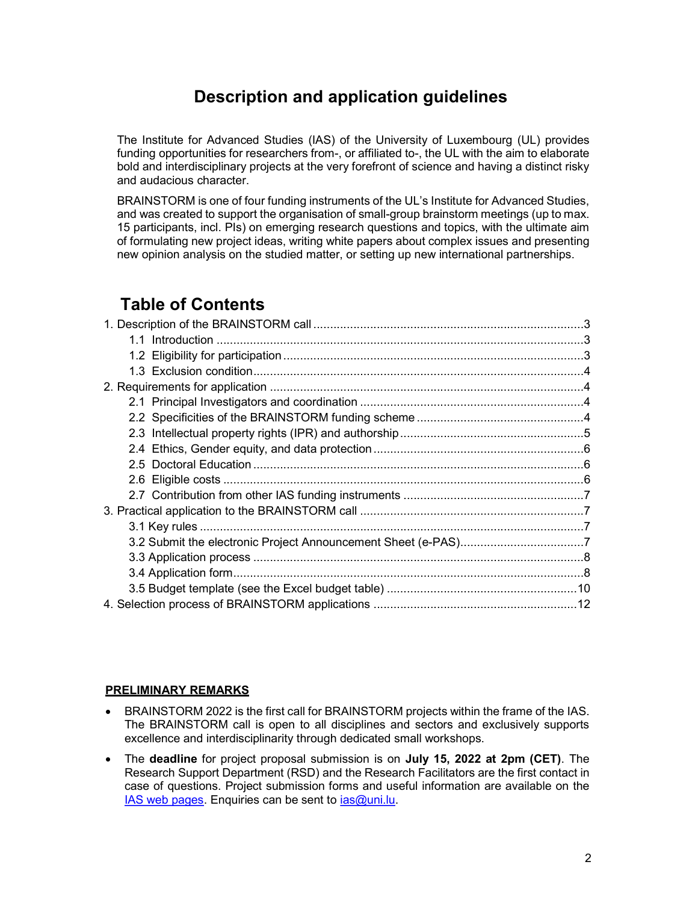## Description and application guidelines

The Institute for Advanced Studies (IAS) of the University of Luxembourg (UL) provides funding opportunities for researchers from-, or affiliated to-, the UL with the aim to elaborate bold and interdisciplinary projects at the very forefront of science and having a distinct risky and audacious character.

BRAINSTORM is one of four funding instruments of the UL's Institute for Advanced Studies, and was created to support the organisation of small-group brainstorm meetings (up to max. 15 participants, incl. PIs) on emerging research questions and topics, with the ultimate aim of formulating new project ideas, writing white papers about complex issues and presenting new opinion analysis on the studied matter, or setting up new international partnerships.

## Table of Contents

#### PRELIMINARY REMARKS

- BRAINSTORM 2022 is the first call for BRAINSTORM projects within the frame of the IAS. The BRAINSTORM call is open to all disciplines and sectors and exclusively supports excellence and interdisciplinarity through dedicated small workshops.
- The deadline for project proposal submission is on July 15, 2022 at 2pm (CET). The Research Support Department (RSD) and the Research Facilitators are the first contact in case of questions. Project submission forms and useful information are available on the IAS web pages. Enquiries can be sent to *ias@uni.lu.*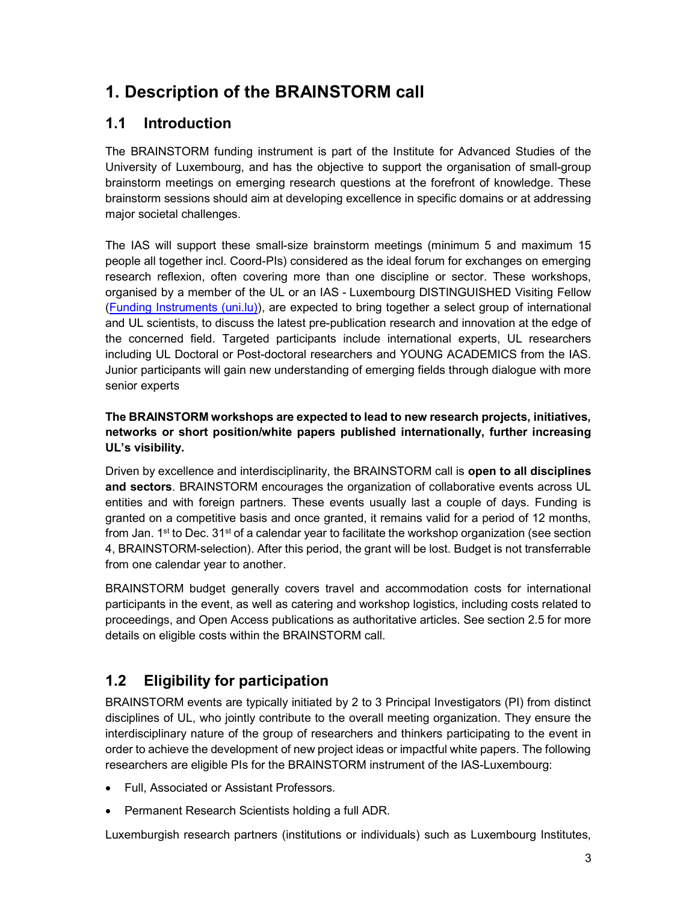# 1. Description of the BRAINSTORM call

### 1.1 Introduction

The BRAINSTORM funding instrument is part of the Institute for Advanced Studies of the University of Luxembourg, and has the objective to support the organisation of small-group brainstorm meetings on emerging research questions at the forefront of knowledge. These brainstorm sessions should aim at developing excellence in specific domains or at addressing major societal challenges.

The IAS will support these small-size brainstorm meetings (minimum 5 and maximum 15 people all together incl. Coord-PIs) considered as the ideal forum for exchanges on emerging research reflexion, often covering more than one discipline or sector. These workshops, organised by a member of the UL or an IAS - Luxembourg DISTINGUISHED Visiting Fellow (Funding Instruments (uni.lu)), are expected to bring together a select group of international and UL scientists, to discuss the latest pre-publication research and innovation at the edge of the concerned field. Targeted participants include international experts, UL researchers including UL Doctoral or Post-doctoral researchers and YOUNG ACADEMICS from the IAS. Junior participants will gain new understanding of emerging fields through dialogue with more senior experts

### The BRAINSTORM workshops are expected to lead to new research projects, initiatives, networks or short position/white papers published internationally, further increasing UL's visibility.

Driven by excellence and interdisciplinarity, the BRAINSTORM call is open to all disciplines and sectors. BRAINSTORM encourages the organization of collaborative events across UL entities and with foreign partners. These events usually last a couple of days. Funding is granted on a competitive basis and once granted, it remains valid for a period of 12 months, from Jan.  $1<sup>st</sup>$  to Dec.  $31<sup>st</sup>$  of a calendar year to facilitate the workshop organization (see section 4, BRAINSTORM-selection). After this period, the grant will be lost. Budget is not transferrable from one calendar year to another.

BRAINSTORM budget generally covers travel and accommodation costs for international participants in the event, as well as catering and workshop logistics, including costs related to proceedings, and Open Access publications as authoritative articles. See section 2.5 for more details on eligible costs within the BRAINSTORM call.

## 1.2 Eligibility for participation

BRAINSTORM events are typically initiated by 2 to 3 Principal Investigators (PI) from distinct disciplines of UL, who jointly contribute to the overall meeting organization. They ensure the interdisciplinary nature of the group of researchers and thinkers participating to the event in order to achieve the development of new project ideas or impactful white papers. The following researchers are eligible PIs for the BRAINSTORM instrument of the IAS-Luxembourg:

- Full, Associated or Assistant Professors.
- Permanent Research Scientists holding a full ADR.

Luxemburgish research partners (institutions or individuals) such as Luxembourg Institutes,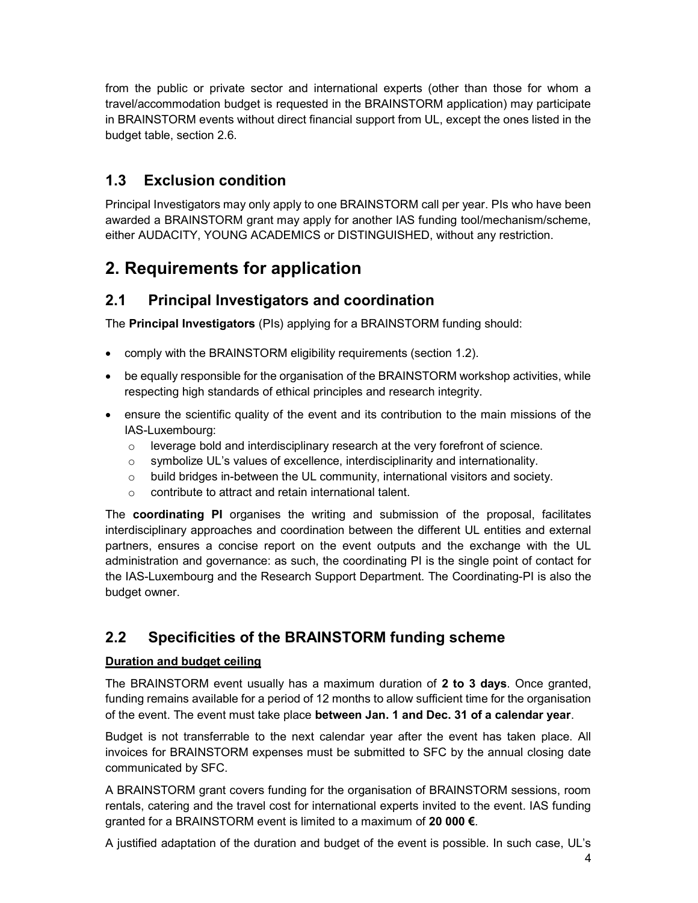from the public or private sector and international experts (other than those for whom a travel/accommodation budget is requested in the BRAINSTORM application) may participate in BRAINSTORM events without direct financial support from UL, except the ones listed in the budget table, section 2.6.

## 1.3 Exclusion condition

Principal Investigators may only apply to one BRAINSTORM call per year. PIs who have been awarded a BRAINSTORM grant may apply for another IAS funding tool/mechanism/scheme, either AUDACITY, YOUNG ACADEMICS or DISTINGUISHED, without any restriction.

# 2. Requirements for application

### 2.1 Principal Investigators and coordination

The Principal Investigators (PIs) applying for a BRAINSTORM funding should:

- comply with the BRAINSTORM eligibility requirements (section 1.2).
- be equally responsible for the organisation of the BRAINSTORM workshop activities, while respecting high standards of ethical principles and research integrity.
- ensure the scientific quality of the event and its contribution to the main missions of the IAS-Luxembourg:
	- o leverage bold and interdisciplinary research at the very forefront of science.
	- $\circ$  symbolize UL's values of excellence, interdisciplinarity and internationality.
	- o build bridges in-between the UL community, international visitors and society.
	- o contribute to attract and retain international talent.

The coordinating PI organises the writing and submission of the proposal, facilitates interdisciplinary approaches and coordination between the different UL entities and external partners, ensures a concise report on the event outputs and the exchange with the UL administration and governance: as such, the coordinating PI is the single point of contact for the IAS-Luxembourg and the Research Support Department. The Coordinating-PI is also the budget owner.

### 2.2 Specificities of the BRAINSTORM funding scheme

### Duration and budget ceiling

The BRAINSTORM event usually has a maximum duration of 2 to 3 days. Once granted, funding remains available for a period of 12 months to allow sufficient time for the organisation of the event. The event must take place between Jan. 1 and Dec. 31 of a calendar year.

Budget is not transferrable to the next calendar year after the event has taken place. All invoices for BRAINSTORM expenses must be submitted to SFC by the annual closing date communicated by SFC.

A BRAINSTORM grant covers funding for the organisation of BRAINSTORM sessions, room rentals, catering and the travel cost for international experts invited to the event. IAS funding granted for a BRAINSTORM event is limited to a maximum of 20 000 €.

A justified adaptation of the duration and budget of the event is possible. In such case, UL's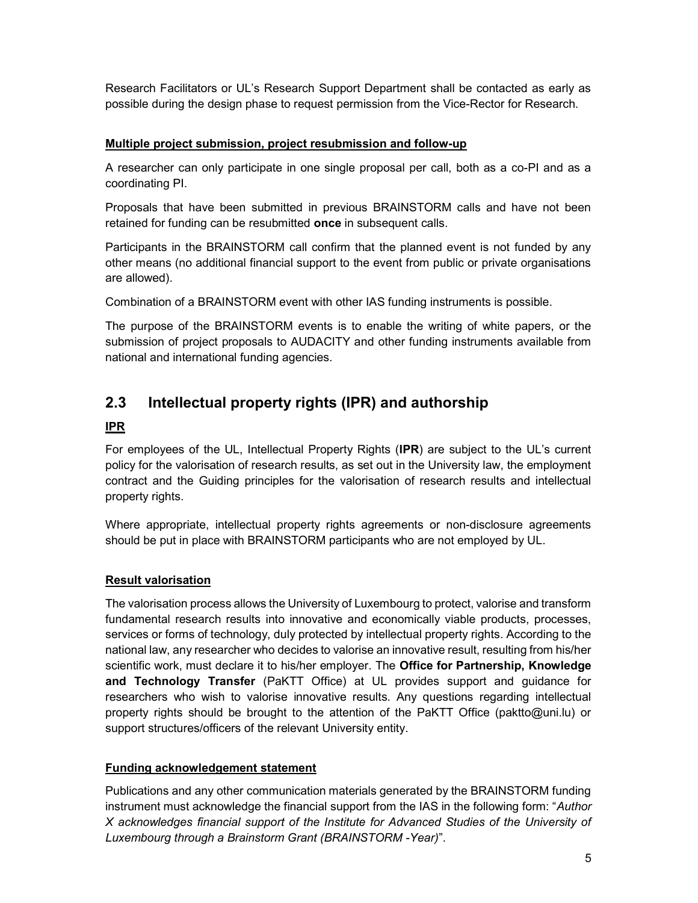Research Facilitators or UL's Research Support Department shall be contacted as early as possible during the design phase to request permission from the Vice-Rector for Research.

#### Multiple project submission, project resubmission and follow-up

A researcher can only participate in one single proposal per call, both as a co-PI and as a coordinating PI.

Proposals that have been submitted in previous BRAINSTORM calls and have not been retained for funding can be resubmitted once in subsequent calls.

Participants in the BRAINSTORM call confirm that the planned event is not funded by any other means (no additional financial support to the event from public or private organisations are allowed).

Combination of a BRAINSTORM event with other IAS funding instruments is possible.

The purpose of the BRAINSTORM events is to enable the writing of white papers, or the submission of project proposals to AUDACITY and other funding instruments available from national and international funding agencies.

### 2.3 Intellectual property rights (IPR) and authorship

#### IPR

For employees of the UL, Intellectual Property Rights (IPR) are subject to the UL's current policy for the valorisation of research results, as set out in the University law, the employment contract and the Guiding principles for the valorisation of research results and intellectual property rights.

Where appropriate, intellectual property rights agreements or non-disclosure agreements should be put in place with BRAINSTORM participants who are not employed by UL.

#### Result valorisation

The valorisation process allows the University of Luxembourg to protect, valorise and transform fundamental research results into innovative and economically viable products, processes, services or forms of technology, duly protected by intellectual property rights. According to the national law, any researcher who decides to valorise an innovative result, resulting from his/her scientific work, must declare it to his/her employer. The Office for Partnership, Knowledge and Technology Transfer (PaKTT Office) at UL provides support and guidance for researchers who wish to valorise innovative results. Any questions regarding intellectual property rights should be brought to the attention of the PaKTT Office (paktto@uni.lu) or support structures/officers of the relevant University entity.

#### Funding acknowledgement statement

Publications and any other communication materials generated by the BRAINSTORM funding instrument must acknowledge the financial support from the IAS in the following form: "Author X acknowledges financial support of the Institute for Advanced Studies of the University of Luxembourg through a Brainstorm Grant (BRAINSTORM -Year)".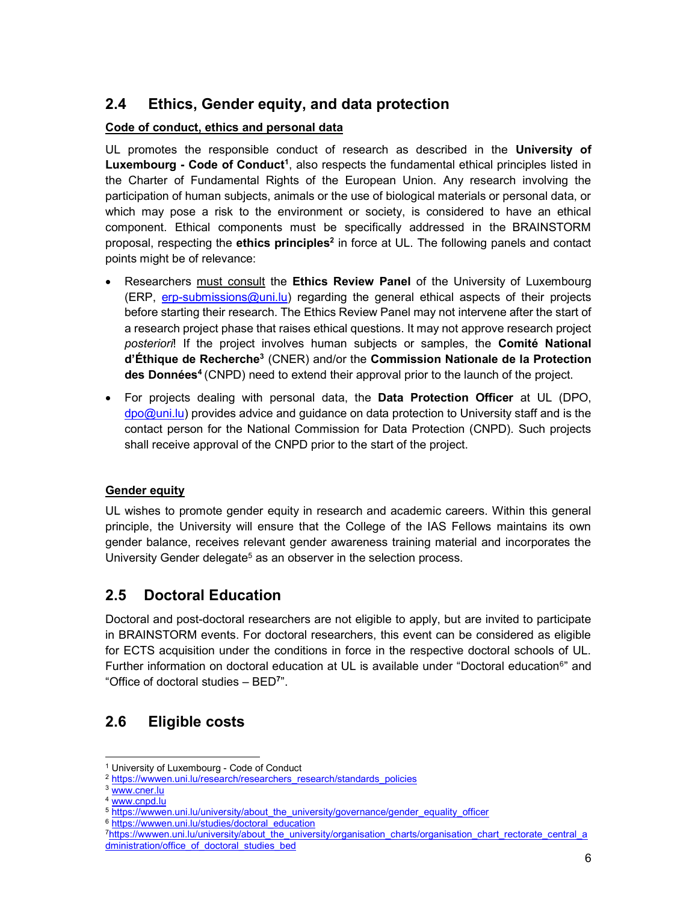### 2.4 Ethics, Gender equity, and data protection

#### Code of conduct, ethics and personal data

UL promotes the responsible conduct of research as described in the University of Luxembourg - Code of Conduct<sup>1</sup>, also respects the fundamental ethical principles listed in the Charter of Fundamental Rights of the European Union. Any research involving the participation of human subjects, animals or the use of biological materials or personal data, or which may pose a risk to the environment or society, is considered to have an ethical component. Ethical components must be specifically addressed in the BRAINSTORM proposal, respecting the ethics principles<sup>2</sup> in force at UL. The following panels and contact points might be of relevance:

- Researchers must consult the Ethics Review Panel of the University of Luxembourg (ERP, erp-submissions@uni.lu) regarding the general ethical aspects of their projects before starting their research. The Ethics Review Panel may not intervene after the start of a research project phase that raises ethical questions. It may not approve research project posteriori! If the project involves human subjects or samples, the **Comité National** d'Éthique de Recherche<sup>3</sup> (CNER) and/or the Commission Nationale de la Protection des Données<sup>4</sup> (CNPD) need to extend their approval prior to the launch of the project.
- For projects dealing with personal data, the **Data Protection Officer** at UL (DPO, dpo@uni.lu) provides advice and guidance on data protection to University staff and is the contact person for the National Commission for Data Protection (CNPD). Such projects shall receive approval of the CNPD prior to the start of the project.

#### Gender equity

UL wishes to promote gender equity in research and academic careers. Within this general principle, the University will ensure that the College of the IAS Fellows maintains its own gender balance, receives relevant gender awareness training material and incorporates the University Gender delegate<sup>5</sup> as an observer in the selection process.

### 2.5 Doctoral Education

Doctoral and post-doctoral researchers are not eligible to apply, but are invited to participate in BRAINSTORM events. For doctoral researchers, this event can be considered as eligible for ECTS acquisition under the conditions in force in the respective doctoral schools of UL. Further information on doctoral education at UL is available under "Doctoral education<sup>6</sup>" and "Office of doctoral studies – BED<sup>7</sup> ".

### 2.6 Eligible costs

-

<sup>1</sup> University of Luxembourg - Code of Conduct

<sup>&</sup>lt;sup>2</sup> https://wwwen.uni.lu/research/researchers\_research/standards\_policies

<sup>3</sup> www.cner.lu

<sup>4</sup> www.cnpd.lu

<sup>5</sup> https://wwwen.uni.lu/university/about\_the\_university/governance/gender\_equality\_officer

<sup>6</sup> https://wwwen.uni.lu/studies/doctoral\_education

<sup>7</sup>https://wwwen.uni.lu/university/about\_the\_university/organisation\_charts/organisation\_chart\_rectorate\_central\_a dministration/office\_of\_doctoral\_studies\_bed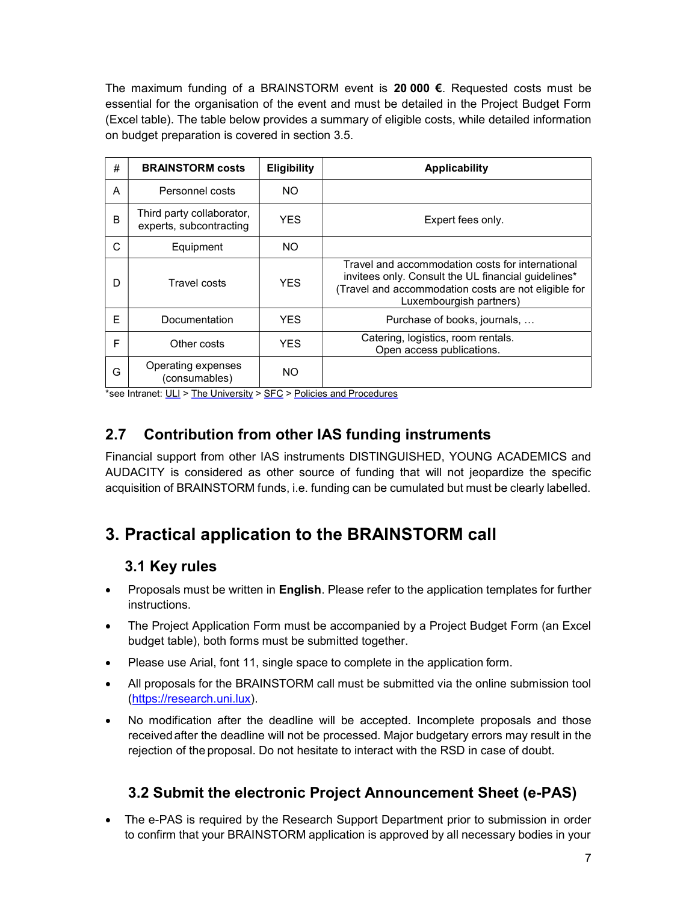The maximum funding of a BRAINSTORM event is 20 000  $\epsilon$ . Requested costs must be essential for the organisation of the event and must be detailed in the Project Budget Form (Excel table). The table below provides a summary of eligible costs, while detailed information on budget preparation is covered in section 3.5.

| # | <b>BRAINSTORM costs</b>                              | <b>Eligibility</b> | <b>Applicability</b>                                                                                                                                                                       |
|---|------------------------------------------------------|--------------------|--------------------------------------------------------------------------------------------------------------------------------------------------------------------------------------------|
| A | Personnel costs                                      | NO.                |                                                                                                                                                                                            |
| B | Third party collaborator,<br>experts, subcontracting | <b>YFS</b>         | Expert fees only.                                                                                                                                                                          |
| C | Equipment                                            | NO.                |                                                                                                                                                                                            |
| D | Travel costs                                         | <b>YFS</b>         | Travel and accommodation costs for international<br>invitees only. Consult the UL financial quidelines*<br>(Travel and accommodation costs are not eligible for<br>Luxembourgish partners) |
| E | Documentation                                        | <b>YFS</b>         | Purchase of books, journals,                                                                                                                                                               |
| F | Other costs                                          | <b>YFS</b>         | Catering, logistics, room rentals.<br>Open access publications.                                                                                                                            |
| G | Operating expenses<br>(consumables)                  | NO.                |                                                                                                                                                                                            |

 $*$ see Intranet:  $ULI > The University > SFC >$  Policies and Procedures

### 2.7 Contribution from other IAS funding instruments

Financial support from other IAS instruments DISTINGUISHED, YOUNG ACADEMICS and AUDACITY is considered as other source of funding that will not jeopardize the specific acquisition of BRAINSTORM funds, i.e. funding can be cumulated but must be clearly labelled.

# 3. Practical application to the BRAINSTORM call

### 3.1 Key rules

- Proposals must be written in **English**. Please refer to the application templates for further instructions.
- The Project Application Form must be accompanied by a Project Budget Form (an Excel budget table), both forms must be submitted together.
- Please use Arial, font 11, single space to complete in the application form.
- All proposals for the BRAINSTORM call must be submitted via the online submission tool (https://research.uni.lux).
- No modification after the deadline will be accepted. Incomplete proposals and those received after the deadline will not be processed. Major budgetary errors may result in the rejection of the proposal. Do not hesitate to interact with the RSD in case of doubt.

### 3.2 Submit the electronic Project Announcement Sheet (e-PAS)

 The e-PAS is required by the Research Support Department prior to submission in order to confirm that your BRAINSTORM application is approved by all necessary bodies in your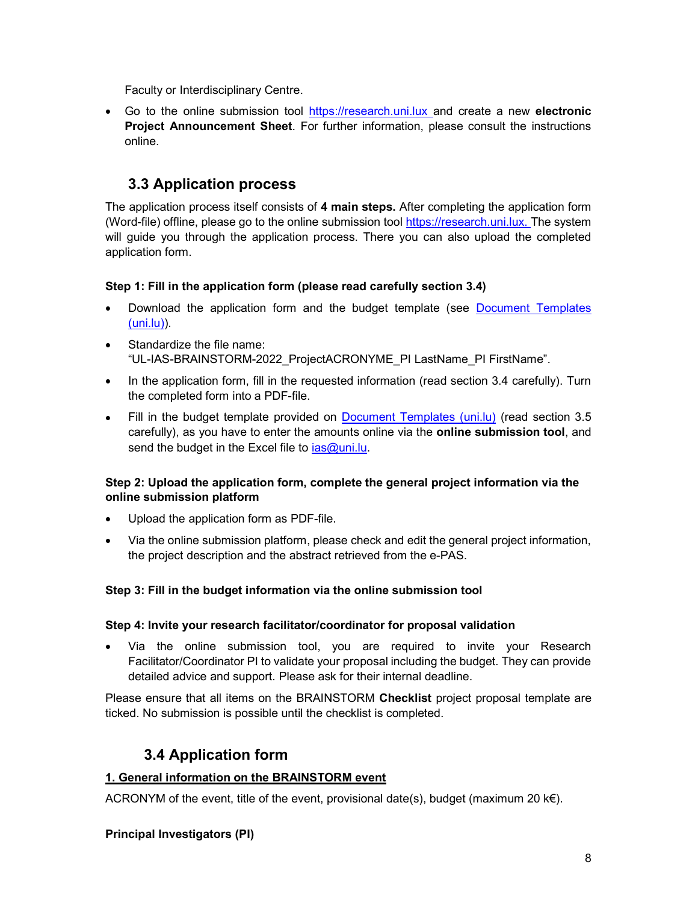Faculty or Interdisciplinary Centre.

• Go to the online submission tool https://research.uni.lux and create a new electronic Project Announcement Sheet. For further information, please consult the instructions online.

### 3.3 Application process

The application process itself consists of 4 main steps. After completing the application form (Word-file) offline, please go to the online submission tool https://research.uni.lux. The system will guide you through the application process. There you can also upload the completed application form.

#### Step 1: Fill in the application form (please read carefully section 3.4)

- Download the application form and the budget template (see Document Templates (uni.lu)).
- Standardize the file name: "UL-IAS-BRAINSTORM-2022\_ProjectACRONYME\_PI LastName\_PI FirstName".
- In the application form, fill in the requested information (read section 3.4 carefully). Turn the completed form into a PDF-file.
- Fill in the budget template provided on Document Templates (uni.lu) (read section 3.5 carefully), as you have to enter the amounts online via the online submission tool, and send the budget in the Excel file to  $ias@uni.lu.$

#### Step 2: Upload the application form, complete the general project information via the online submission platform

- Upload the application form as PDF-file.
- Via the online submission platform, please check and edit the general project information, the project description and the abstract retrieved from the e-PAS.

#### Step 3: Fill in the budget information via the online submission tool

#### Step 4: Invite your research facilitator/coordinator for proposal validation

 Via the online submission tool, you are required to invite your Research Facilitator/Coordinator PI to validate your proposal including the budget. They can provide detailed advice and support. Please ask for their internal deadline.

Please ensure that all items on the BRAINSTORM Checklist project proposal template are ticked. No submission is possible until the checklist is completed.

### 3.4 Application form

#### 1. General information on the BRAINSTORM event

ACRONYM of the event, title of the event, provisional date(s), budget (maximum 20  $k \in \mathbb{R}$ ).

#### Principal Investigators (PI)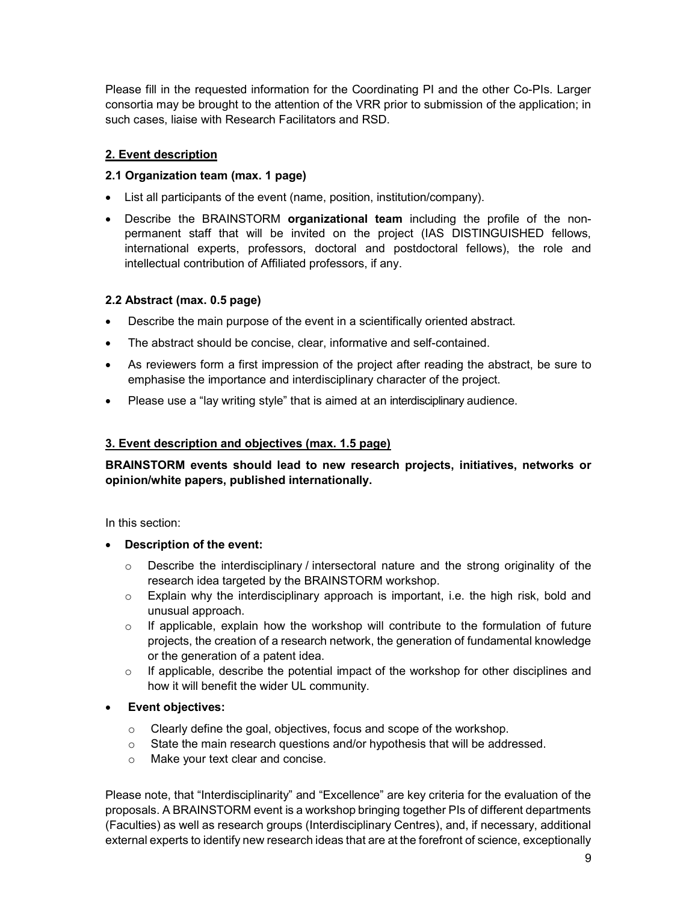Please fill in the requested information for the Coordinating PI and the other Co-PIs. Larger consortia may be brought to the attention of the VRR prior to submission of the application; in such cases, liaise with Research Facilitators and RSD.

#### 2. Event description

#### 2.1 Organization team (max. 1 page)

- List all participants of the event (name, position, institution/company).
- Describe the BRAINSTORM organizational team including the profile of the nonpermanent staff that will be invited on the project (IAS DISTINGUISHED fellows, international experts, professors, doctoral and postdoctoral fellows), the role and intellectual contribution of Affiliated professors, if any.

#### 2.2 Abstract (max. 0.5 page)

- Describe the main purpose of the event in a scientifically oriented abstract.
- The abstract should be concise, clear, informative and self-contained.
- As reviewers form a first impression of the project after reading the abstract, be sure to emphasise the importance and interdisciplinary character of the project.
- Please use a "lay writing style" that is aimed at an interdisciplinary audience.

#### 3. Event description and objectives (max. 1.5 page)

BRAINSTORM events should lead to new research projects, initiatives, networks or opinion/white papers, published internationally.

In this section:

- Description of the event:
	- $\circ$  Describe the interdisciplinary / intersectoral nature and the strong originality of the research idea targeted by the BRAINSTORM workshop.
	- $\circ$  Explain why the interdisciplinary approach is important, i.e. the high risk, bold and unusual approach.
	- $\circ$  If applicable, explain how the workshop will contribute to the formulation of future projects, the creation of a research network, the generation of fundamental knowledge or the generation of a patent idea.
	- o If applicable, describe the potential impact of the workshop for other disciplines and how it will benefit the wider UL community.
- Event objectives:
	- o Clearly define the goal, objectives, focus and scope of the workshop.
	- $\circ$  State the main research questions and/or hypothesis that will be addressed.
	- o Make your text clear and concise.

Please note, that "Interdisciplinarity" and "Excellence" are key criteria for the evaluation of the proposals. A BRAINSTORM event is a workshop bringing together PIs of different departments (Faculties) as well as research groups (Interdisciplinary Centres), and, if necessary, additional external experts to identify new research ideas that are at the forefront of science, exceptionally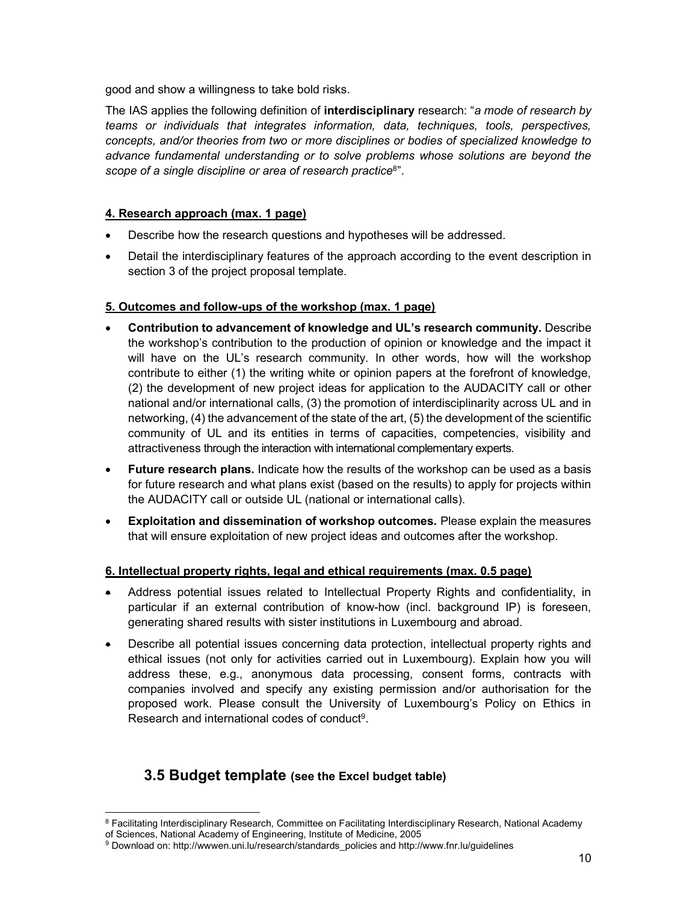good and show a willingness to take bold risks.

The IAS applies the following definition of **interdisciplinary** research: "a mode of research by teams or individuals that integrates information, data, techniques, tools, perspectives, concepts, and/or theories from two or more disciplines or bodies of specialized knowledge to advance fundamental understanding or to solve problems whose solutions are beyond the scope of a single discipline or area of research practice<sup>8</sup>".

#### 4. Research approach (max. 1 page)

- Describe how the research questions and hypotheses will be addressed.
- Detail the interdisciplinary features of the approach according to the event description in section 3 of the project proposal template.

#### 5. Outcomes and follow-ups of the workshop (max. 1 page)

- Contribution to advancement of knowledge and UL's research community. Describe the workshop's contribution to the production of opinion or knowledge and the impact it will have on the UL's research community. In other words, how will the workshop contribute to either (1) the writing white or opinion papers at the forefront of knowledge, (2) the development of new project ideas for application to the AUDACITY call or other national and/or international calls, (3) the promotion of interdisciplinarity across UL and in networking, (4) the advancement of the state of the art, (5) the development of the scientific community of UL and its entities in terms of capacities, competencies, visibility and attractiveness through the interaction with international complementary experts.
- Future research plans. Indicate how the results of the workshop can be used as a basis for future research and what plans exist (based on the results) to apply for projects within the AUDACITY call or outside UL (national or international calls).
- Exploitation and dissemination of workshop outcomes. Please explain the measures that will ensure exploitation of new project ideas and outcomes after the workshop.

#### 6. Intellectual property rights, legal and ethical requirements (max. 0.5 page)

- Address potential issues related to Intellectual Property Rights and confidentiality, in particular if an external contribution of know-how (incl. background IP) is foreseen, generating shared results with sister institutions in Luxembourg and abroad.
- Describe all potential issues concerning data protection, intellectual property rights and ethical issues (not only for activities carried out in Luxembourg). Explain how you will address these, e.g., anonymous data processing, consent forms, contracts with companies involved and specify any existing permission and/or authorisation for the proposed work. Please consult the University of Luxembourg's Policy on Ethics in Research and international codes of conduct<sup>9</sup>.

### 3.5 Budget template (see the Excel budget table)

<sup>-</sup> $^8$  Facilitating Interdisciplinary Research, Committee on Facilitating Interdisciplinary Research, National Academy of Sciences, National Academy of Engineering, Institute of Medicine, 2005

<sup>9</sup> Download on: http://wwwen.uni.lu/research/standards policies and http://www.fnr.lu/guidelines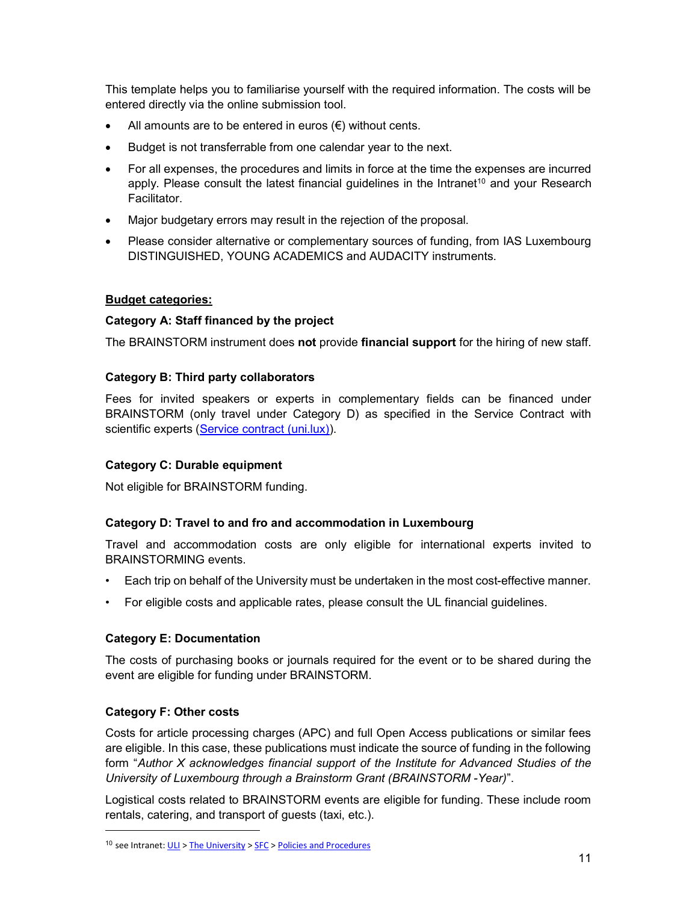This template helps you to familiarise yourself with the required information. The costs will be entered directly via the online submission tool.

- All amounts are to be entered in euros  $(\epsilon)$  without cents.
- Budget is not transferrable from one calendar year to the next.
- For all expenses, the procedures and limits in force at the time the expenses are incurred apply. Please consult the latest financial guidelines in the Intranet<sup>10</sup> and your Research Facilitator.
- Major budgetary errors may result in the rejection of the proposal.
- Please consider alternative or complementary sources of funding, from IAS Luxembourg DISTINGUISHED, YOUNG ACADEMICS and AUDACITY instruments.

#### Budget categories:

#### Category A: Staff financed by the project

The BRAINSTORM instrument does not provide financial support for the hiring of new staff.

#### Category B: Third party collaborators

Fees for invited speakers or experts in complementary fields can be financed under BRAINSTORM (only travel under Category D) as specified in the Service Contract with scientific experts (Service contract (uni.lux)).

#### Category C: Durable equipment

Not eligible for BRAINSTORM funding.

#### Category D: Travel to and fro and accommodation in Luxembourg

Travel and accommodation costs are only eligible for international experts invited to BRAINSTORMING events.

- Each trip on behalf of the University must be undertaken in the most cost-effective manner.
- For eligible costs and applicable rates, please consult the UL financial guidelines.

#### Category E: Documentation

The costs of purchasing books or journals required for the event or to be shared during the event are eligible for funding under BRAINSTORM.

#### Category F: Other costs

-

Costs for article processing charges (APC) and full Open Access publications or similar fees are eligible. In this case, these publications must indicate the source of funding in the following form "Author X acknowledges financial support of the Institute for Advanced Studies of the University of Luxembourg through a Brainstorm Grant (BRAINSTORM -Year)".

Logistical costs related to BRAINSTORM events are eligible for funding. These include room rentals, catering, and transport of guests (taxi, etc.).

<sup>&</sup>lt;sup>10</sup> see Intranet:  $ULI > The University > SFC >$  Policies and Procedures